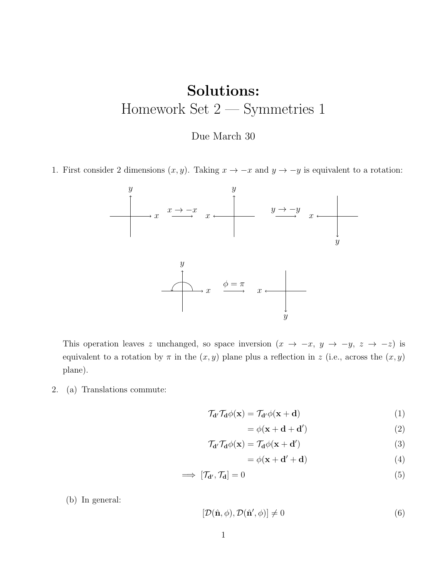## Solutions: Homework Set 2 — Symmetries 1

## Due March 30

1. First consider 2 dimensions  $(x, y)$ . Taking  $x \to -x$  and  $y \to -y$  is equivalent to a rotation:



This operation leaves z unchanged, so space inversion  $(x \to -x, y \to -y, z \to -z)$  is equivalent to a rotation by  $\pi$  in the  $(x, y)$  plane plus a reflection in z (i.e., across the  $(x, y)$ ) plane).

2. (a) Translations commute:

$$
\mathcal{T}_{\mathbf{d}} \mathcal{T}_{\mathbf{d}} \phi(\mathbf{x}) = \mathcal{T}_{\mathbf{d}} \phi(\mathbf{x} + \mathbf{d}) \tag{1}
$$

$$
= \phi(\mathbf{x} + \mathbf{d} + \mathbf{d}')
$$
 (2)

$$
\mathcal{T}_{\mathbf{d}} \mathcal{T}_{\mathbf{d}} \phi(\mathbf{x}) = \mathcal{T}_{\mathbf{d}} \phi(\mathbf{x} + \mathbf{d}')
$$
\n(3)

$$
= \phi(\mathbf{x} + \mathbf{d}' + \mathbf{d}) \tag{4}
$$

$$
\implies [\mathcal{T}_{\mathbf{d}'}, \mathcal{T}_{\mathbf{d}}] = 0 \tag{5}
$$

(b) In general:

$$
[\mathcal{D}(\hat{\mathbf{n}},\phi),\mathcal{D}(\hat{\mathbf{n}}',\phi)] \neq 0 \tag{6}
$$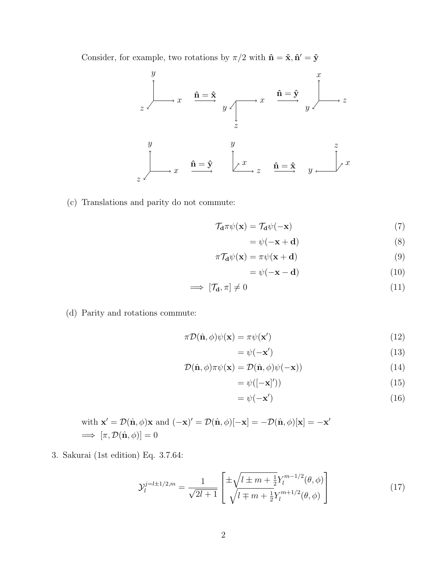Consider, for example, two rotations by  $\pi/2$  with  $\hat{\mathbf{n}} = \hat{\mathbf{x}}, \hat{\mathbf{n}}' = \hat{\mathbf{y}}$ 



(c) Translations and parity do not commute:

$$
\mathcal{T}_{\mathbf{d}} \pi \psi(\mathbf{x}) = \mathcal{T}_{\mathbf{d}} \psi(-\mathbf{x}) \tag{7}
$$

$$
= \psi(-\mathbf{x} + \mathbf{d}) \tag{8}
$$

$$
\pi \mathcal{T}_{\mathbf{d}} \psi(\mathbf{x}) = \pi \psi(\mathbf{x} + \mathbf{d}) \tag{9}
$$

$$
= \psi(-\mathbf{x} - \mathbf{d}) \tag{10}
$$

$$
\implies [\mathcal{T}_d, \pi] \neq 0 \tag{11}
$$

(d) Parity and rotations commute:

$$
\pi \mathcal{D}(\hat{\mathbf{n}}, \phi) \psi(\mathbf{x}) = \pi \psi(\mathbf{x}')
$$
\n(12)

$$
=\psi(-\mathbf{x}')\tag{13}
$$

$$
\mathcal{D}(\hat{\mathbf{n}}, \phi)\pi\psi(\mathbf{x}) = \mathcal{D}(\hat{\mathbf{n}}, \phi)\psi(-\mathbf{x}))\tag{14}
$$

$$
= \psi([-\mathbf{x}]')) \tag{15}
$$

$$
=\psi(-\mathbf{x}')\tag{16}
$$

with 
$$
\mathbf{x}' = \mathcal{D}(\hat{\mathbf{n}}, \phi)\mathbf{x}
$$
 and  $(-\mathbf{x})' = \mathcal{D}(\hat{\mathbf{n}}, \phi)[-\mathbf{x}] = -\mathcal{D}(\hat{\mathbf{n}}, \phi)[\mathbf{x}] = -\mathbf{x}'$   
\n $\implies [\pi, \mathcal{D}(\hat{\mathbf{n}}, \phi)] = 0$ 

3. Sakurai (1st edition) Eq. 3.7.64:

<span id="page-1-0"></span>
$$
\mathcal{Y}_l^{j=l\pm 1/2,m} = \frac{1}{\sqrt{2l+1}} \left[ \frac{\pm \sqrt{l \pm m + \frac{1}{2}} Y_l^{m-1/2}(\theta,\phi)}{\sqrt{l \mp m + \frac{1}{2}} Y_l^{m+1/2}(\theta,\phi)} \right]
$$
(17)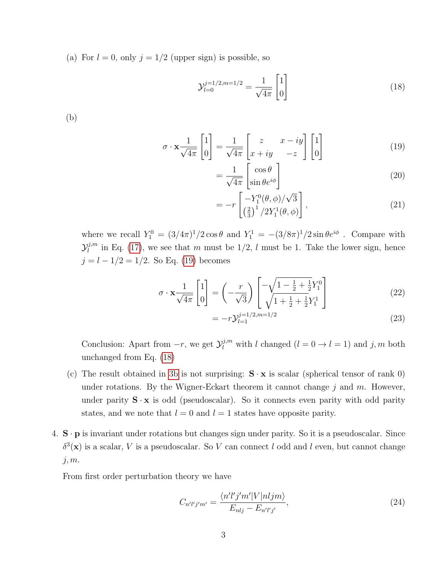(a) For  $l = 0$ , only  $j = 1/2$  (upper sign) is possible, so

<span id="page-2-1"></span>
$$
\mathcal{Y}_{l=0}^{j=1/2,m=1/2} = \frac{1}{\sqrt{4\pi}} \begin{bmatrix} 1 \\ 0 \end{bmatrix} \tag{18}
$$

<span id="page-2-2"></span>(b)

$$
\sigma \cdot \mathbf{x} \frac{1}{\sqrt{4\pi}} \begin{bmatrix} 1 \\ 0 \end{bmatrix} = \frac{1}{\sqrt{4\pi}} \begin{bmatrix} z & x - iy \\ x + iy & -z \end{bmatrix} \begin{bmatrix} 1 \\ 0 \end{bmatrix}
$$
(19)

<span id="page-2-0"></span>
$$
= \frac{1}{\sqrt{4\pi}} \begin{bmatrix} \cos \theta \\ \sin \theta e^{i\phi} \end{bmatrix}
$$
 (20)

$$
= -r \left[ \frac{-Y_1^0(\theta, \phi)/\sqrt{3}}{\left(\frac{2}{3}\right)^1/2Y_1^1(\theta, \phi)} \right],
$$
\n(21)

where we recall  $Y_1^0 = (3/4\pi)^1/2 \cos\theta$  and  $Y_1^1 = -(3/8\pi)^1/2 \sin\theta e^{i\phi}$ . Compare with  $\mathcal{Y}_l^{j,m}$  $\ell_l^{j,m}$  in Eq. [\(17\)](#page-1-0), we see that m must be 1/2, l must be 1. Take the lower sign, hence  $j = l - 1/2 = 1/2$ . So Eq. [\(19\)](#page-2-0) becomes

$$
\sigma \cdot \mathbf{x} \frac{1}{\sqrt{4\pi}} \begin{bmatrix} 1 \\ 0 \end{bmatrix} = \left( -\frac{r}{\sqrt{3}} \right) \begin{bmatrix} -\sqrt{1 - \frac{1}{2} + \frac{1}{2}} Y_1^0 \\ \sqrt{1 + \frac{1}{2} + \frac{1}{2}} Y_1^1 \end{bmatrix}
$$
(22)

$$
= -r \mathcal{Y}_{l=1}^{j=1/2, m=1/2} \tag{23}
$$

Conclusion: Apart from  $-r$ , we get  $\mathcal{Y}_l^{j,m}$  with l changed  $(l = 0 \rightarrow l = 1)$  and j, m both unchanged from Eq. [\(18\)](#page-2-1)

- (c) The result obtained in [3b](#page-2-2) is not surprising:  $\mathbf{S} \cdot \mathbf{x}$  is scalar (spherical tensor of rank 0) under rotations. By the Wigner-Eckart theorem it cannot change  $j$  and  $m$ . However, under parity  $S \cdot x$  is odd (pseudoscalar). So it connects even parity with odd parity states, and we note that  $l = 0$  and  $l = 1$  states have opposite parity.
- 4.  $\mathbf{S} \cdot \mathbf{p}$  is invariant under rotations but changes sign under parity. So it is a pseudoscalar. Since  $\delta^3(\mathbf{x})$  is a scalar, V is a pseudoscalar. So V can connect l odd and l even, but cannot change  $j, m$ .

From first order perturbation theory we have

$$
C_{n'l'j'm'} = \frac{\langle n'l'j'm'|V|nljm\rangle}{E_{nlj} - E_{n'l'j'}},\tag{24}
$$